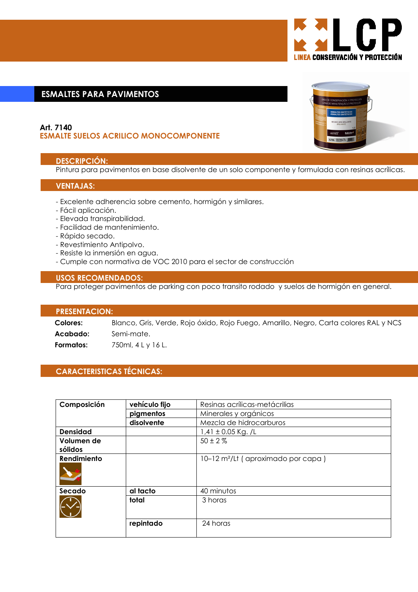

# **ESMALTES PARA PAVIMENTOS**

# Art. 7140 **ESMALTE SUELOS ACRILICO MONOCOMPONENTE**

# **DESCRIPCIÓN:**

Pintura para pavimentos en base disolvente de un solo componente y formulada con resinas acrílicas.

## **VENTAJAS:**

- Excelente adherencia sobre cemento, hormigón y similares.
- Fácil aplicación.
- Elevada transpirabilidad.
- Facilidad de mantenimiento.
- Rápido secado.
- Revestimiento Antipolvo.
- Resiste la inmersión en agua.
- Cumple con normativa de VOC 2010 para el sector de construcción

# **USOS RECOMENDADOS:**

Para proteger pavimentos de parking con poco transito rodado y suelos de hormigón en general.

#### **PRESENTACION:**

Colores: Blanco, Gris, Verde, Rojo óxido, Rojo Fuego, Amarillo, Negro, Carta colores RAL y NCS Acabado: Semi-mate. 750ml, 4 L v 16 L. Formatos:

# **CARACTERISTICAS TÉCNICAS:**

| Composición           | vehículo fijo | Resinas acrílicas-metácrilias                  |
|-----------------------|---------------|------------------------------------------------|
|                       | pigmentos     | Minerales y orgánicos                          |
|                       | disolvente    | Mezcla de hidrocarburos                        |
| <b>Densidad</b>       |               | $1,41 \pm 0.05$ Kg. /L                         |
| Volumen de<br>sólidos |               | $50 \pm 2 \%$                                  |
| Rendimiento           |               | 10-12 m <sup>2</sup> /Lt (aproximado por capa) |
| Secado                | al tacto      | 40 minutos                                     |
|                       | total         | 3 horas                                        |
|                       | repintado     | 24 horas                                       |